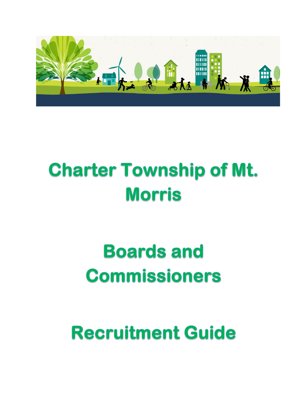

# **Charter Township of Mt. Morris**

# **Boards and Commissioners**

**Recruitment Guide**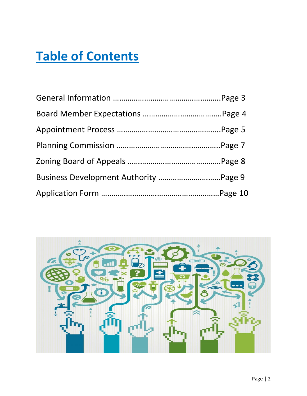## **Table of Contents**

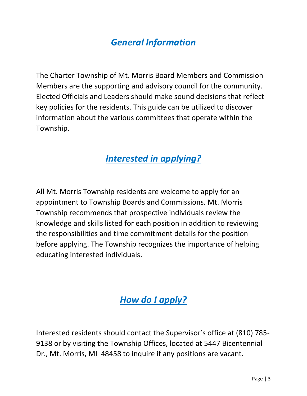## *General Information*

The Charter Township of Mt. Morris Board Members and Commission Members are the supporting and advisory council for the community. Elected Officials and Leaders should make sound decisions that reflect key policies for the residents. This guide can be utilized to discover information about the various committees that operate within the Township.

## *Interested in applying?*

All Mt. Morris Township residents are welcome to apply for an appointment to Township Boards and Commissions. Mt. Morris Township recommends that prospective individuals review the knowledge and skills listed for each position in addition to reviewing the responsibilities and time commitment details for the position before applying. The Township recognizes the importance of helping educating interested individuals.

## *How do I apply?*

Interested residents should contact the Supervisor's office at (810) 785- 9138 or by visiting the Township Offices, located at 5447 Bicentennial Dr., Mt. Morris, MI 48458 to inquire if any positions are vacant.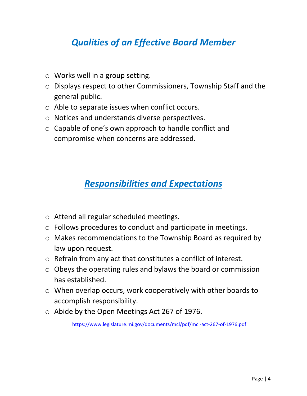## *Qualities of an Effective Board Member*

- o Works well in a group setting.
- o Displays respect to other Commissioners, Township Staff and the general public.
- o Able to separate issues when conflict occurs.
- o Notices and understands diverse perspectives.
- o Capable of one's own approach to handle conflict and compromise when concerns are addressed.

## *Responsibilities and Expectations*

- o Attend all regular scheduled meetings.
- o Follows procedures to conduct and participate in meetings.
- o Makes recommendations to the Township Board as required by law upon request.
- o Refrain from any act that constitutes a conflict of interest.
- o Obeys the operating rules and bylaws the board or commission has established.
- o When overlap occurs, work cooperatively with other boards to accomplish responsibility.
- o Abide by the Open Meetings Act 267 of 1976.

<https://www.legislature.mi.gov/documents/mcl/pdf/mcl-act-267-of-1976.pdf>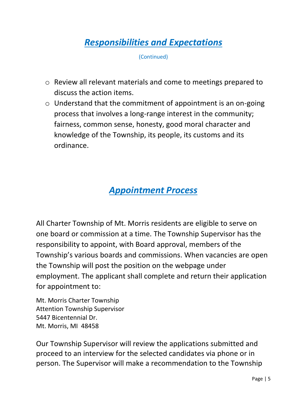## *Responsibilities and Expectations*

(Continued)

- o Review all relevant materials and come to meetings prepared to discuss the action items.
- o Understand that the commitment of appointment is an on-going process that involves a long-range interest in the community; fairness, common sense, honesty, good moral character and knowledge of the Township, its people, its customs and its ordinance.

### *Appointment Process*

All Charter Township of Mt. Morris residents are eligible to serve on one board or commission at a time. The Township Supervisor has the responsibility to appoint, with Board approval, members of the Township's various boards and commissions. When vacancies are open the Township will post the position on the webpage under employment. The applicant shall complete and return their application for appointment to:

Mt. Morris Charter Township Attention Township Supervisor 5447 Bicentennial Dr. Mt. Morris, MI 48458

Our Township Supervisor will review the applications submitted and proceed to an interview for the selected candidates via phone or in person. The Supervisor will make a recommendation to the Township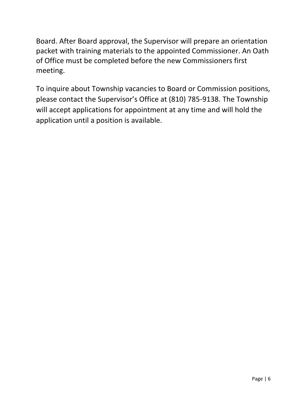Board. After Board approval, the Supervisor will prepare an orientation packet with training materials to the appointed Commissioner. An Oath of Office must be completed before the new Commissioners first meeting.

To inquire about Township vacancies to Board or Commission positions, please contact the Supervisor's Office at (810) 785-9138. The Township will accept applications for appointment at any time and will hold the application until a position is available.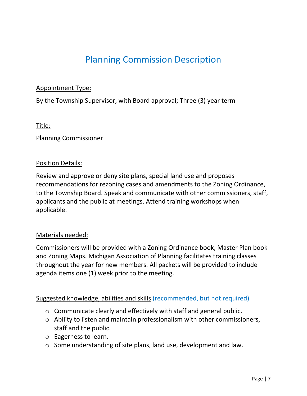## Planning Commission Description

#### Appointment Type:

By the Township Supervisor, with Board approval; Three (3) year term

#### Title:

Planning Commissioner

#### Position Details:

Review and approve or deny site plans, special land use and proposes recommendations for rezoning cases and amendments to the Zoning Ordinance, to the Township Board. Speak and communicate with other commissioners, staff, applicants and the public at meetings. Attend training workshops when applicable.

#### Materials needed:

Commissioners will be provided with a Zoning Ordinance book, Master Plan book and Zoning Maps. Michigan Association of Planning facilitates training classes throughout the year for new members. All packets will be provided to include agenda items one (1) week prior to the meeting.

#### Suggested knowledge, abilities and skills (recommended, but not required)

- o Communicate clearly and effectively with staff and general public.
- o Ability to listen and maintain professionalism with other commissioners, staff and the public.
- o Eagerness to learn.
- o Some understanding of site plans, land use, development and law.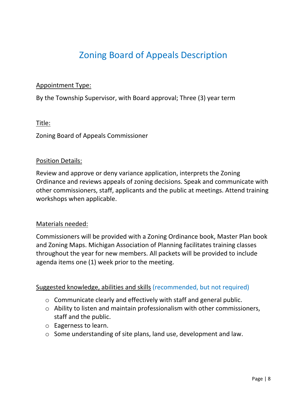## Zoning Board of Appeals Description

#### Appointment Type:

By the Township Supervisor, with Board approval; Three (3) year term

#### Title:

Zoning Board of Appeals Commissioner

#### Position Details:

Review and approve or deny variance application, interprets the Zoning Ordinance and reviews appeals of zoning decisions. Speak and communicate with other commissioners, staff, applicants and the public at meetings. Attend training workshops when applicable.

#### Materials needed:

Commissioners will be provided with a Zoning Ordinance book, Master Plan book and Zoning Maps. Michigan Association of Planning facilitates training classes throughout the year for new members. All packets will be provided to include agenda items one (1) week prior to the meeting.

#### Suggested knowledge, abilities and skills (recommended, but not required)

- o Communicate clearly and effectively with staff and general public.
- o Ability to listen and maintain professionalism with other commissioners, staff and the public.
- o Eagerness to learn.
- o Some understanding of site plans, land use, development and law.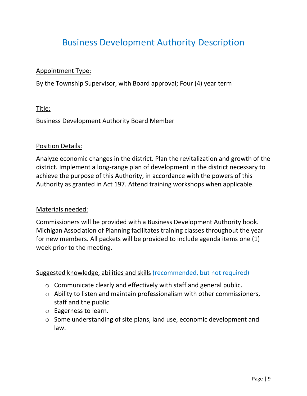## Business Development Authority Description

#### Appointment Type:

By the Township Supervisor, with Board approval; Four (4) year term

#### Title:

Business Development Authority Board Member

#### Position Details:

Analyze economic changes in the district. Plan the revitalization and growth of the district. Implement a long-range plan of development in the district necessary to achieve the purpose of this Authority, in accordance with the powers of this Authority as granted in Act 197. Attend training workshops when applicable.

#### Materials needed:

Commissioners will be provided with a Business Development Authority book. Michigan Association of Planning facilitates training classes throughout the year for new members. All packets will be provided to include agenda items one (1) week prior to the meeting.

#### Suggested knowledge, abilities and skills (recommended, but not required)

- o Communicate clearly and effectively with staff and general public.
- o Ability to listen and maintain professionalism with other commissioners, staff and the public.
- o Eagerness to learn.
- o Some understanding of site plans, land use, economic development and law.